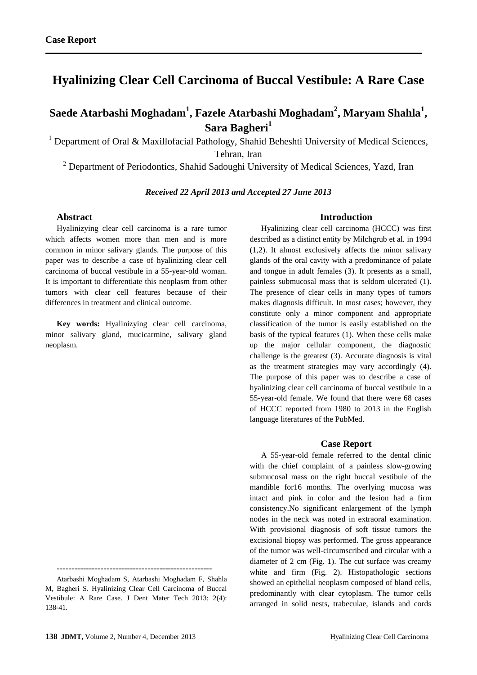# **Hyalinizing Clear Cell Carcinoma of Buccal Vestibule: A Rare Case**

## **Saede Atarbashi Moghadam<sup>1</sup> , Fazele Atarbashi Moghadam<sup>2</sup> , Maryam Shahla<sup>1</sup> , Sara Bagheri<sup>1</sup>**

<sup>1</sup> Department of Oral & Maxillofacial Pathology, Shahid Beheshti University of Medical Sciences, Tehran, Iran

<sup>2</sup> Department of Periodontics, Shahid Sadoughi University of Medical Sciences, Yazd, Iran

## *Received 22 April 2013 and Accepted 27 June 2013*

## **Abstract**

Hyalinizying clear cell carcinoma is a rare tumor which affects women more than men and is more common in minor salivary glands. The purpose of this paper was to describe a case of hyalinizing clear cell carcinoma of buccal vestibule in a 55-year-old woman. It is important to differentiate this neoplasm from other tumors with clear cell features because of their differences in treatment and clinical outcome.

**Key words:** Hyalinizying clear cell carcinoma, minor salivary gland, mucicarmine, salivary gland neoplasm.

## **Introduction**

Hyalinizing clear cell carcinoma (HCCC) was first described as a distinct entity by Milchgrub et al*.* in 1994 (1,2). It almost exclusively affects the minor salivary glands of the oral cavity with a predominance of palate and tongue in adult females (3). It presents as a small, painless submucosal mass that is seldom ulcerated (1). The presence of clear cells in many types of tumors makes diagnosis difficult. In most cases; however, they constitute only a minor component and appropriate classification of the tumor is easily established on the basis of the typical features (1). When these cells make up the major cellular component, the diagnostic challenge is the greatest (3). Accurate diagnosis is vital as the treatment strategies may vary accordingly (4). The purpose of this paper was to describe a case of hyalinizing clear cell carcinoma of buccal vestibule in a 55-year-old female. We found that there were 68 cases of HCCC reported from 1980 to 2013 in the English language literatures of the PubMed.

#### **Case Report**

A 55-year-old female referred to the dental clinic with the chief complaint of a painless slow-growing submucosal mass on the right buccal vestibule of the mandible for16 months. The overlying mucosa was intact and pink in color and the lesion had a firm consistency.No significant enlargement of the lymph nodes in the neck was noted in extraoral examination. With provisional diagnosis of soft tissue tumors the excisional biopsy was performed. The gross appearance of the tumor was well-circumscribed and circular with a diameter of 2 cm (Fig. 1). The cut surface was creamy white and firm (Fig. 2). Histopathologic sections showed an epithelial neoplasm composed of bland cells, predominantly with clear cytoplasm. The tumor cells arranged in solid nests, trabeculae, islands and cords

**<sup>-----------------------------------------------------</sup>** Atarbashi Moghadam S, Atarbashi Moghadam F, Shahla

M, Bagheri S. Hyalinizing Clear Cell Carcinoma of Buccal Vestibule: A Rare Case. J Dent Mater Tech 2013; 2(4): 138-41.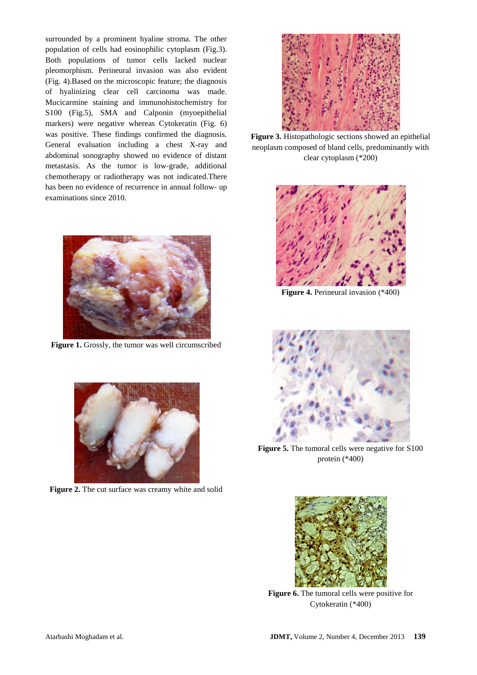surrounded by a prominent hyaline stroma. The other population of cells had eosinophilic cytoplasm (Fig.3). Both populations of tumor cells lacked nuclear pleomorphism. Perineural invasion was also evident (Fig. 4).Based on the microscopic feature; the diagnosis of hyalinizing clear cell carcinoma was made. Mucicarmine staining and immunohistochemistry for S100 (Fig.5), SMA and Calponin (myoepithelial markers) were negative whereas Cytokeratin (Fig. 6) was positive. These findings confirmed the diagnosis. General evaluation including a chest X-ray and abdominal sonography showed no evidence of distant metastasis. As the tumor is low-grade, additional chemotherapy or radiotherapy was not indicated.There has been no evidence of recurrence in annual follow- up examinations since 2010.



**Figure 1.** Grossly, the tumor was well circumscribed



**Figure 2.** The cut surface was creamy white and solid



**Figure 3.** Histopathologic sections showed an epithelial neoplasm composed of bland cells, predominantly with clear cytoplasm (\*200)



**Figure 4.** Perineural invasion (\*400)



**Figure 5.** The tumoral cells were negative for S100 protein (\*400)



**Figure 6.** The tumoral cells were positive for Cytokeratin (\*400)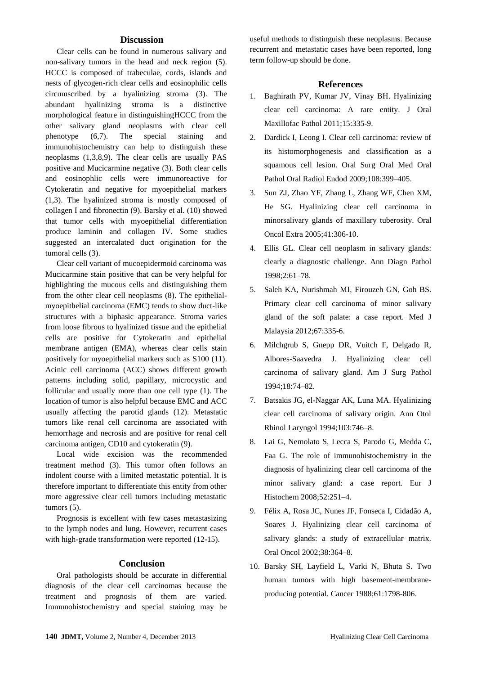## **Discussion**

Clear cells can be found in numerous salivary and non-salivary tumors in the head and neck region (5). HCCC is composed of trabeculae, cords, islands and nests of glycogen-rich clear cells and eosinophilic cells circumscribed by a hyalinizing stroma (3). The abundant hyalinizing stroma is a distinctive morphological feature in distinguishingHCCC from the other salivary gland neoplasms with clear cell phenotype (6,7). The special staining and immunohistochemistry can help to distinguish these neoplasms (1,3,8,9). The clear cells are usually PAS positive and Mucicarmine negative (3). Both clear cells and eosinophlic cells were immunoreactive for Cytokeratin and negative for myoepithelial markers (1,3). The hyalinized stroma is mostly composed of collagen I and fibronectin (9). Barsky et al. (10) showed that tumor cells with myoepithelial differentiation produce laminin and collagen IV. Some studies suggested an intercalated duct origination for the tumoral cells (3).

Clear cell variant of mucoepidermoid carcinoma was Mucicarmine stain positive that can be very helpful for highlighting the mucous cells and distinguishing them from the other clear cell neoplasms (8). The epithelialmyoepithelial carcinoma (EMC) tends to show duct-like structures with a biphasic appearance. Stroma varies from loose fibrous to hyalinized tissue and the epithelial cells are positive for Cytokeratin and epithelial membrane antigen (EMA), whereas clear cells stain positively for myoepithelial markers such as S100 (11). Acinic cell carcinoma (ACC) shows different growth patterns including solid, papillary, microcystic and follicular and usually more than one cell type (1). The location of tumor is also helpful because EMC and ACC usually affecting the parotid glands (12). Metastatic tumors like renal cell carcinoma are associated with hemorrhage and necrosis and are positive for renal cell carcinoma antigen, CD10 and cytokeratin (9).

Local wide excision was the recommended treatment method (3). This tumor often follows an indolent course with a limited metastatic potential. It is therefore important to differentiate this entity from other more aggressive clear cell tumors including metastatic tumors (5).

Prognosis is excellent with few cases metastasizing to the lymph nodes and lung. However, recurrent cases with high-grade transformation were reported (12-15).

## **Conclusion**

Oral pathologists should be accurate in differential diagnosis of the clear cell carcinomas because the treatment and prognosis of them are varied. Immunohistochemistry and special staining may be useful methods to distinguish these neoplasms. Because recurrent and metastatic cases have been reported, long term follow-up should be done.

## **References**

- 1. [Baghirath PV,](http://www.ncbi.nlm.nih.gov/pubmed?term=Baghirath%20PV%5BAuthor%5D&cauthor=true&cauthor_uid=22144841) [Kumar JV,](http://www.ncbi.nlm.nih.gov/pubmed?term=Kumar%20JV%5BAuthor%5D&cauthor=true&cauthor_uid=22144841) [Vinay BH.](http://www.ncbi.nlm.nih.gov/pubmed?term=Vinay%20BH%5BAuthor%5D&cauthor=true&cauthor_uid=22144841) Hyalinizing clear cell carcinoma: A rare entity. [J Oral](http://www.ncbi.nlm.nih.gov/pubmed/22144841)  [Maxillofac](http://www.ncbi.nlm.nih.gov/pubmed/22144841) Pathol 2011;15:335-9.
- 2. Dardick I, Leong I. Clear cell carcinoma: review of its histomorphogenesis and classification as a squamous cell lesion. Oral Surg Oral Med Oral Pathol Oral Radiol Endod 2009;108:399–405.
- 3. Sun ZJ, Zhao YF, Zhang L, Zhang WF, Chen XM, He SG. Hyalinizing clear cell carcinoma in minorsalivary glands of maxillary tuberosity. Oral Oncol Extra 2005;41:306-10.
- 4. Ellis GL. Clear cell neoplasm in salivary glands: clearly a diagnostic challenge. Ann Diagn Pathol 1998;2:61–78.
- 5. [Saleh KA,](http://www.ncbi.nlm.nih.gov/pubmed?term=Saleh%20KA%5BAuthor%5D&cauthor=true&cauthor_uid=23082431) [Nurishmah MI,](http://www.ncbi.nlm.nih.gov/pubmed?term=Nurishmah%20MI%5BAuthor%5D&cauthor=true&cauthor_uid=23082431) [Firouzeh GN,](http://www.ncbi.nlm.nih.gov/pubmed?term=Firouzeh%20GN%5BAuthor%5D&cauthor=true&cauthor_uid=23082431) [Goh BS.](http://www.ncbi.nlm.nih.gov/pubmed?term=Goh%20BS%5BAuthor%5D&cauthor=true&cauthor_uid=23082431) Primary clear cell carcinoma of minor salivary gland of the soft palate: a case report. [Med J](http://www.ncbi.nlm.nih.gov/pubmed/23082431)  [Malaysia](http://www.ncbi.nlm.nih.gov/pubmed/23082431) 2012;67:335-6.
- 6. Milchgrub S, Gnepp DR, Vuitch F, Delgado R, Albores-Saavedra J. Hyalinizing clear cell carcinoma of salivary gland. Am J Surg Pathol 1994;18:74–82.
- 7. Batsakis JG, el-Naggar AK, Luna MA. Hyalinizing clear cell carcinoma of salivary origin. Ann Otol Rhinol Laryngol 1994;103:746–8.
- 8. Lai G, Nemolato S, Lecca S, Parodo G, Medda C, Faa G. The role of immunohistochemistry in the diagnosis of hyalinizing clear cell carcinoma of the minor salivary gland: a case report. Eur J Histochem 2008;52:251–4.
- 9. Félix A, Rosa JC, Nunes JF, Fonseca I, Cidadão A, Soares J. Hyalinizing clear cell carcinoma of salivary glands: a study of extracellular matrix. Oral Oncol 2002;38:364–8.
- 10. Barsky SH, Layfield L, Varki N, Bhuta S. [Two](http://www.ncbi.nlm.nih.gov/pubmed/2833339)  [human tumors with high basement-membrane](http://www.ncbi.nlm.nih.gov/pubmed/2833339)[producing potential.](http://www.ncbi.nlm.nih.gov/pubmed/2833339) Cancer 1988;61:1798-806.